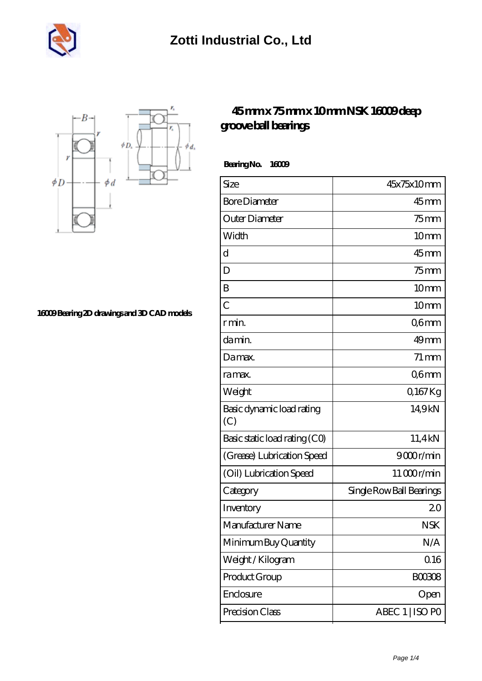



**[16009 Bearing 2D drawings and 3D CAD models](https://m.musik-graz.net/pic-41042.html)**

## **[45 mm x 75 mm x 10 mm NSK 16009 deep](https://m.musik-graz.net/at-41042-nsk-16009-deep-groove-ball-bearings.html) [groove ball bearings](https://m.musik-graz.net/at-41042-nsk-16009-deep-groove-ball-bearings.html)**

 **Bearing No. 16009**

| Size                             | 45x75x10mm               |
|----------------------------------|--------------------------|
| <b>Bore Diameter</b>             | $45 \text{mm}$           |
| Outer Diameter                   | $75$ mm                  |
| Width                            | 10 <sub>mm</sub>         |
| d                                | $45$ mm                  |
| D                                | $75$ mm                  |
| B                                | 10 <sub>mm</sub>         |
| $\overline{C}$                   | 10 <sub>mm</sub>         |
| r min.                           | Q6mm                     |
| da min.                          | 49 <sub>mm</sub>         |
| Damax.                           | $71 \,\mathrm{mm}$       |
| ra max.                          | Q6mm                     |
| Weight                           | Q167Kg                   |
| Basic dynamic load rating<br>(C) | 14,9kN                   |
| Basic static load rating (CO)    | 11,4kN                   |
| (Grease) Lubrication Speed       | 9000r/min                |
| (Oil) Lubrication Speed          | 11000r/min               |
| Category                         | Single Row Ball Bearings |
| Inventory                        | 20                       |
| Manufacturer Name                | <b>NSK</b>               |
| Minimum Buy Quantity             | N/A                      |
| Weight/Kilogram                  | 0.16                     |
| Product Group                    | <b>BOO3O8</b>            |
| Enclosure                        | Open                     |
| Precision Class                  | ABEC 1   ISO PO          |
|                                  |                          |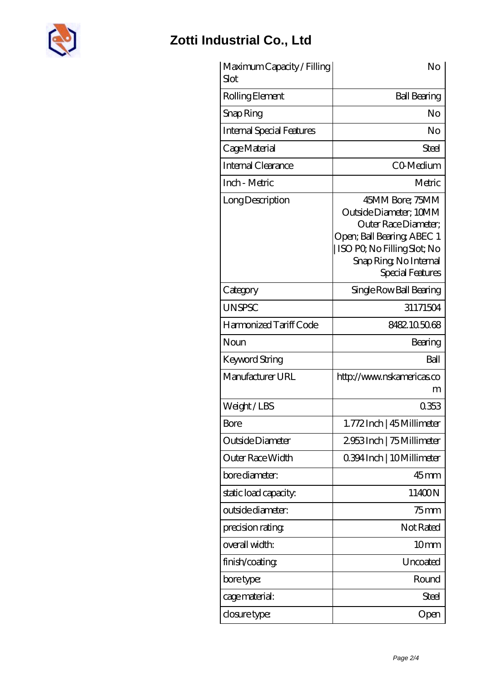

## **[Zotti Industrial Co., Ltd](https://m.musik-graz.net)**

| Maximum Capacity / Filling<br>Slot | No                                                                                                                                                                          |
|------------------------------------|-----------------------------------------------------------------------------------------------------------------------------------------------------------------------------|
| Rolling Element                    | <b>Ball Bearing</b>                                                                                                                                                         |
| Snap Ring                          | No                                                                                                                                                                          |
| <b>Internal Special Features</b>   | No                                                                                                                                                                          |
| Cage Material                      | Steel                                                                                                                                                                       |
| Internal Clearance                 | CO-Medium                                                                                                                                                                   |
| Inch - Metric                      | Metric                                                                                                                                                                      |
| Long Description                   | 45MM Bore; 75MM<br>Outside Diameter; 10MM<br>Outer Race Diameter;<br>Open; Ball Bearing, ABEC 1<br>ISO PQ No Filling Slot; No<br>Snap Ring, No Internal<br>Special Features |
| Category                           | Single Row Ball Bearing                                                                                                                                                     |
| <b>UNSPSC</b>                      | 31171504                                                                                                                                                                    |
| Harmonized Tariff Code             | 8482105068                                                                                                                                                                  |
| Noun                               | Bearing                                                                                                                                                                     |
| <b>Keyword String</b>              | Ball                                                                                                                                                                        |
| Manufacturer URL                   | http://www.nskamericas.co<br>m                                                                                                                                              |
| Weight/LBS                         | 0353                                                                                                                                                                        |
| <b>Bore</b>                        | 1.772Inch   45 Millimeter                                                                                                                                                   |
| Outside Diameter                   | 2953Inch   75 Millimeter                                                                                                                                                    |
| Outer Race Width                   | 0.394 Inch   10 Millimeter                                                                                                                                                  |
| bore diameter:                     | 45mm                                                                                                                                                                        |
| static load capacity.              | 11400N                                                                                                                                                                      |
| outside diameter:                  | $75$ mm                                                                                                                                                                     |
| precision rating                   | Not Rated                                                                                                                                                                   |
| overall width:                     | 10 <sub>mm</sub>                                                                                                                                                            |
| finish/coating                     | Uncoated                                                                                                                                                                    |
| bore type:                         | Round                                                                                                                                                                       |
| cage material:                     | Steel                                                                                                                                                                       |
| closure type:                      | Open                                                                                                                                                                        |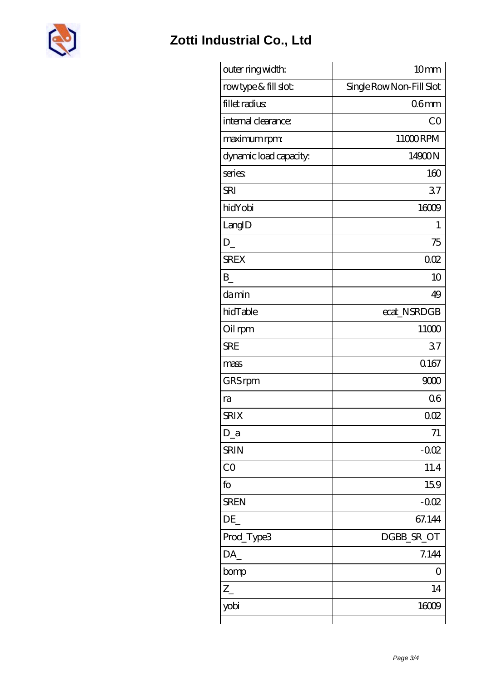

| outer ring width:      | 10mm                     |
|------------------------|--------------------------|
| rowtype & fill slot:   | Single Row Non-Fill Slot |
| fillet radius          | 06 <sub>mm</sub>         |
| internal clearance:    | CO                       |
| maximum rpm:           | 11000RPM                 |
| dynamic load capacity. | 14900N                   |
| series                 | 160                      |
| <b>SRI</b>             | 37                       |
| hidYobi                | 16009                    |
| LangID                 | 1                        |
| $D_{-}$                | 75                       |
| <b>SREX</b>            | 002                      |
| B                      | 10                       |
| damin                  | 49                       |
| hidTable               | ecat_NSRDGB              |
| Oil rpm                | 11000                    |
| <b>SRE</b>             | 37                       |
| mass                   | 0167                     |
| GRS rpm                | 9000                     |
| ra                     | 06                       |
| <b>SRIX</b>            | 002                      |
| $D_a$                  | 71                       |
| <b>SRIN</b>            | $-002$                   |
| CO                     | 11.4                     |
| fo                     | 159                      |
| <b>SREN</b>            | $-0.02$                  |
| DE_                    | 67.144                   |
| Prod_Type3             | DGBB_SR_OT               |
| DA_                    | 7.144                    |
| bomp                   | Ο                        |
| $Z_{-}$                | 14                       |
| yobi                   | 16009                    |
|                        |                          |